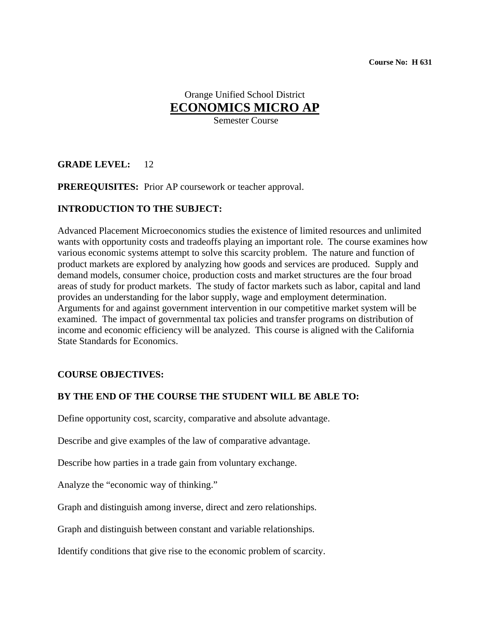# Orange Unified School District **ECONOMICS MICRO AP**

Semester Course

# **GRADE LEVEL:** 12

**PREREQUISITES:** Prior AP coursework or teacher approval.

## **INTRODUCTION TO THE SUBJECT:**

Advanced Placement Microeconomics studies the existence of limited resources and unlimited wants with opportunity costs and tradeoffs playing an important role. The course examines how various economic systems attempt to solve this scarcity problem. The nature and function of product markets are explored by analyzing how goods and services are produced. Supply and demand models, consumer choice, production costs and market structures are the four broad areas of study for product markets. The study of factor markets such as labor, capital and land provides an understanding for the labor supply, wage and employment determination. Arguments for and against government intervention in our competitive market system will be examined. The impact of governmental tax policies and transfer programs on distribution of income and economic efficiency will be analyzed. This course is aligned with the California State Standards for Economics.

#### **COURSE OBJECTIVES:**

# **BY THE END OF THE COURSE THE STUDENT WILL BE ABLE TO:**

Define opportunity cost, scarcity, comparative and absolute advantage.

Describe and give examples of the law of comparative advantage.

Describe how parties in a trade gain from voluntary exchange.

Analyze the "economic way of thinking."

Graph and distinguish among inverse, direct and zero relationships.

Graph and distinguish between constant and variable relationships.

Identify conditions that give rise to the economic problem of scarcity.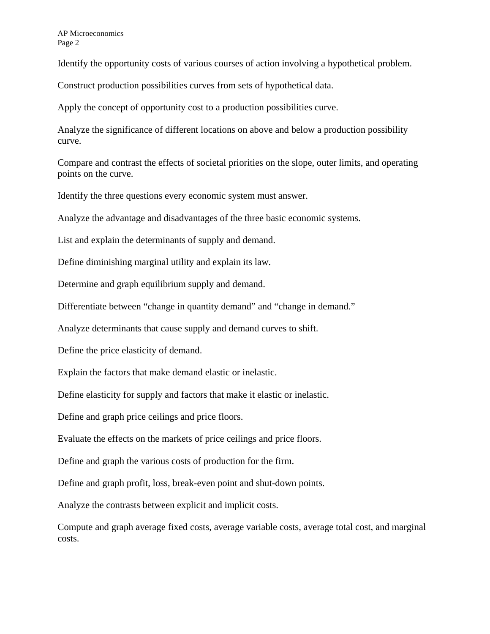AP Microeconomics Page 2

Identify the opportunity costs of various courses of action involving a hypothetical problem.

Construct production possibilities curves from sets of hypothetical data.

Apply the concept of opportunity cost to a production possibilities curve.

Analyze the significance of different locations on above and below a production possibility curve.

Compare and contrast the effects of societal priorities on the slope, outer limits, and operating points on the curve.

Identify the three questions every economic system must answer.

Analyze the advantage and disadvantages of the three basic economic systems.

List and explain the determinants of supply and demand.

Define diminishing marginal utility and explain its law.

Determine and graph equilibrium supply and demand.

Differentiate between "change in quantity demand" and "change in demand."

Analyze determinants that cause supply and demand curves to shift.

Define the price elasticity of demand.

Explain the factors that make demand elastic or inelastic.

Define elasticity for supply and factors that make it elastic or inelastic.

Define and graph price ceilings and price floors.

Evaluate the effects on the markets of price ceilings and price floors.

Define and graph the various costs of production for the firm.

Define and graph profit, loss, break-even point and shut-down points.

Analyze the contrasts between explicit and implicit costs.

Compute and graph average fixed costs, average variable costs, average total cost, and marginal costs.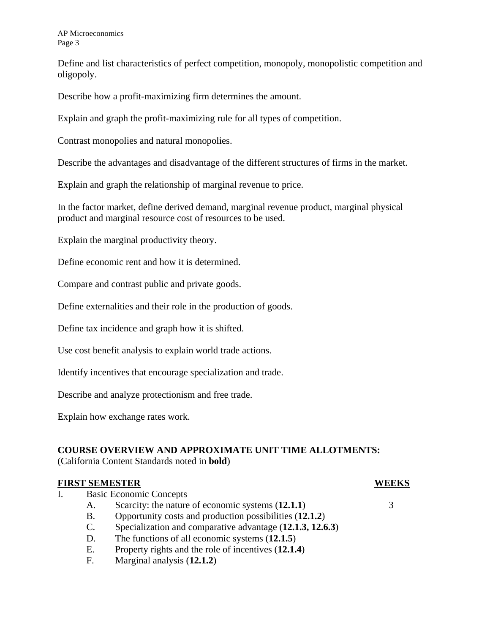AP Microeconomics Page 3

Define and list characteristics of perfect competition, monopoly, monopolistic competition and oligopoly.

Describe how a profit-maximizing firm determines the amount.

Explain and graph the profit-maximizing rule for all types of competition.

Contrast monopolies and natural monopolies.

Describe the advantages and disadvantage of the different structures of firms in the market.

Explain and graph the relationship of marginal revenue to price.

In the factor market, define derived demand, marginal revenue product, marginal physical product and marginal resource cost of resources to be used.

Explain the marginal productivity theory.

Define economic rent and how it is determined.

Compare and contrast public and private goods.

Define externalities and their role in the production of goods.

Define tax incidence and graph how it is shifted.

Use cost benefit analysis to explain world trade actions.

Identify incentives that encourage specialization and trade.

Describe and analyze protectionism and free trade.

Explain how exchange rates work.

#### **COURSE OVERVIEW AND APPROXIMATE UNIT TIME ALLOTMENTS:**

(California Content Standards noted in **bold**)

#### **FIRST SEMESTER WEEKS**

- I. Basic Economic Concepts
	- A. Scarcity: the nature of economic systems (**12.1.1**) 3
	- B. Opportunity costs and production possibilities (**12.1.2**)
	- C. Specialization and comparative advantage (**12.1.3, 12.6.3**)
	- D. The functions of all economic systems (**12.1.5**)
	- E. Property rights and the role of incentives (**12.1.4**)
	- F. Marginal analysis (**12.1.2**)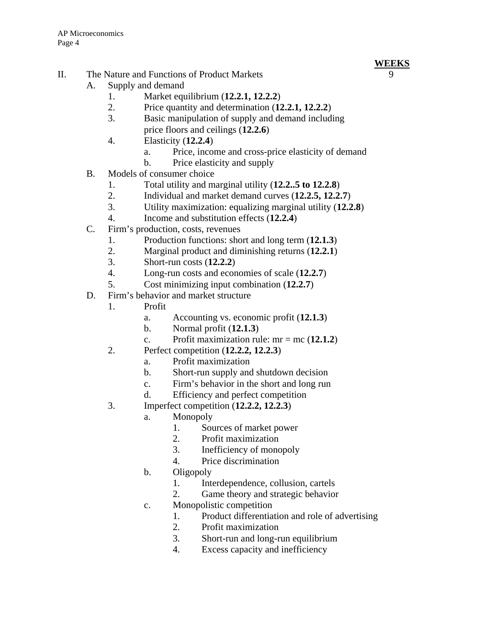# **WEEKS**

- II. The Nature and Functions of Product Markets 9
	- A. Supply and demand
		- 1. Market equilibrium (**12.2.1, 12.2.2**)
		- 2. Price quantity and determination (**12.2.1, 12.2.2**)
		- 3. Basic manipulation of supply and demand including price floors and ceilings (**12.2.6**)
		- 4. Elasticity (**12.2.4**)
			- a. Price, income and cross-price elasticity of demand
			- b. Price elasticity and supply
	- B. Models of consumer choice
		- 1. Total utility and marginal utility (**12.2..5 to 12.2.8**)
		- 2. Individual and market demand curves (**12.2.5, 12.2.7**)
		- 3. Utility maximization: equalizing marginal utility (**12.2.8**)
		- 4. Income and substitution effects (**12.2.4**)
	- C. Firm's production, costs, revenues
		- 1. Production functions: short and long term (**12.1.3**)
		- 2. Marginal product and diminishing returns (**12.2.1**)
		- 3. Short-run costs (**12.2.2**)
		- 4. Long-run costs and economies of scale (**12.2.7**)
		- 5. Cost minimizing input combination (**12.2.7**)
	- D. Firm's behavior and market structure
		- 1. Profit
			- a. Accounting vs. economic profit (**12.1.3**)
			- b. Normal profit (**12.1.3**)
			- c. Profit maximization rule:  $mr = mc(12.1.2)$
		- 2. Perfect competition (**12.2.2, 12.2.3**)
			- a. Profit maximization
			- b. Short-run supply and shutdown decision
			- c. Firm's behavior in the short and long run
			- d. Efficiency and perfect competition
		- 3. Imperfect competition (**12.2.2, 12.2.3**)
			- a. Monopoly
				- 1. Sources of market power
				- 2. Profit maximization
				- 3. Inefficiency of monopoly
				- 4. Price discrimination
			- b. Oligopoly
				- 1. Interdependence, collusion, cartels
				- 2. Game theory and strategic behavior
			- c. Monopolistic competition
				- 1. Product differentiation and role of advertising
				- 2. Profit maximization
				- 3. Short-run and long-run equilibrium
				- 4. Excess capacity and inefficiency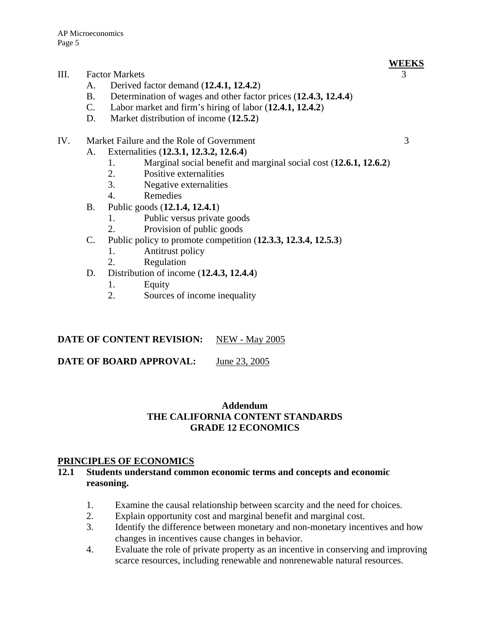# III. Factor Markets

- A. Derived factor demand (**12.4.1, 12.4.2**)
- B. Determination of wages and other factor prices (**12.4.3, 12.4.4**)
- C. Labor market and firm's hiring of labor (**12.4.1, 12.4.2**)
- D. Market distribution of income (**12.5.2**)

# IV. Market Failure and the Role of Government 3

- A. Externalities (**12.3.1, 12.3.2, 12.6.4**)
	- 1. Marginal social benefit and marginal social cost (**12.6.1, 12.6.2**)
	- 2. Positive externalities
	- 3. Negative externalities
	- 4. Remedies
- B. Public goods (**12.1.4, 12.4.1**)
	- 1. Public versus private goods
	- 2. Provision of public goods
- C. Public policy to promote competition (**12.3.3, 12.3.4, 12.5.3**)
	- 1. Antitrust policy
	- 2. Regulation
- D. Distribution of income (**12.4.3, 12.4.4**)
	- 1. Equity
	- 2. Sources of income inequality

# **DATE OF CONTENT REVISION:** NEW - May 2005

**DATE OF BOARD APPROVAL:** June 23, 2005

# **Addendum THE CALIFORNIA CONTENT STANDARDS GRADE 12 ECONOMICS**

#### **PRINCIPLES OF ECONOMICS**

#### **12.1 Students understand common economic terms and concepts and economic reasoning.**

- 1. Examine the causal relationship between scarcity and the need for choices.
- 2. Explain opportunity cost and marginal benefit and marginal cost.
- 3. Identify the difference between monetary and non-monetary incentives and how changes in incentives cause changes in behavior.
- 4. Evaluate the role of private property as an incentive in conserving and improving scarce resources, including renewable and nonrenewable natural resources.

**WEEKS**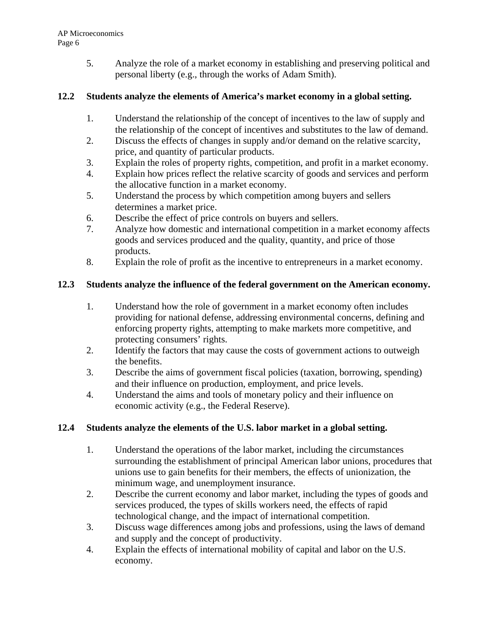5. Analyze the role of a market economy in establishing and preserving political and personal liberty (e.g., through the works of Adam Smith).

# **12.2 Students analyze the elements of America's market economy in a global setting.**

- 1. Understand the relationship of the concept of incentives to the law of supply and the relationship of the concept of incentives and substitutes to the law of demand.
- 2. Discuss the effects of changes in supply and/or demand on the relative scarcity, price, and quantity of particular products.
- 3. Explain the roles of property rights, competition, and profit in a market economy.
- 4. Explain how prices reflect the relative scarcity of goods and services and perform the allocative function in a market economy.
- 5. Understand the process by which competition among buyers and sellers determines a market price.
- 6. Describe the effect of price controls on buyers and sellers.
- 7. Analyze how domestic and international competition in a market economy affects goods and services produced and the quality, quantity, and price of those products.
- 8. Explain the role of profit as the incentive to entrepreneurs in a market economy.

# **12.3 Students analyze the influence of the federal government on the American economy.**

- 1. Understand how the role of government in a market economy often includes providing for national defense, addressing environmental concerns, defining and enforcing property rights, attempting to make markets more competitive, and protecting consumers' rights.
- 2. Identify the factors that may cause the costs of government actions to outweigh the benefits.
- 3. Describe the aims of government fiscal policies (taxation, borrowing, spending) and their influence on production, employment, and price levels.
- 4. Understand the aims and tools of monetary policy and their influence on economic activity (e.g., the Federal Reserve).

# **12.4 Students analyze the elements of the U.S. labor market in a global setting.**

- 1. Understand the operations of the labor market, including the circumstances surrounding the establishment of principal American labor unions, procedures that unions use to gain benefits for their members, the effects of unionization, the minimum wage, and unemployment insurance.
- 2. Describe the current economy and labor market, including the types of goods and services produced, the types of skills workers need, the effects of rapid technological change, and the impact of international competition.
- 3. Discuss wage differences among jobs and professions, using the laws of demand and supply and the concept of productivity.
- 4. Explain the effects of international mobility of capital and labor on the U.S. economy.